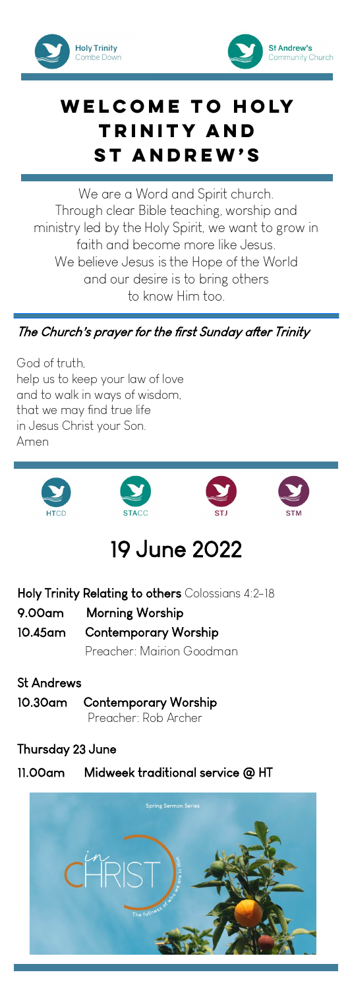



## **Welcome to Holy Trinity and St Andrew's**

We are a Word and Spirit church. Through clear Bible teaching, worship and ministry led by the Holy Spirit, we want to grow in faith and become more like Jesus. We believe Jesus is the Hope of the World and our desire is to bring others to know Him too.

## The Church's prayer for the first Sunday after Trinity

God of truth, help us to keep your law of love and to walk in ways of wisdom, that we may find true life in Jesus Christ your Son. Amen



# 19 June 2022

| Holy Trinity Relating to others Colossians 4:2-18 |                              |
|---------------------------------------------------|------------------------------|
|                                                   | 9.00am Morning Worship       |
|                                                   | 10.45am Contemporary Worship |
|                                                   | Preacher: Mairion Goodman    |

St Andrews 10.30am Contemporary Worship Preacher: Rob Archer

## Thursday 23 June

11.00am Midweek traditional service @ HT

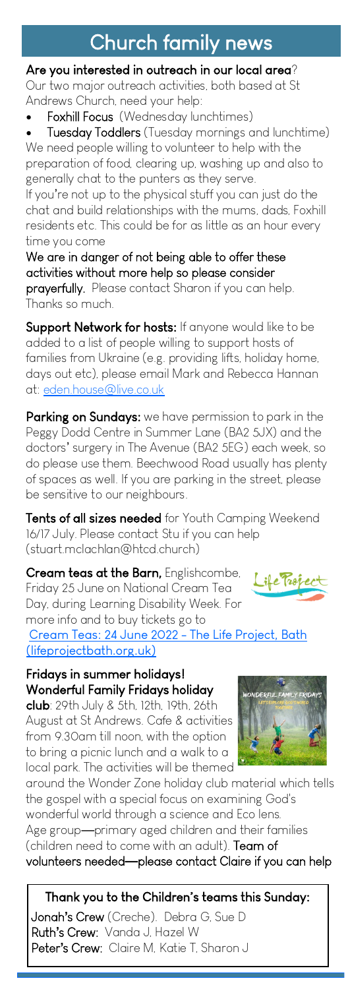# Church family news

#### Are you interested in outreach in our local area?

Our two major outreach activities, both based at St Andrews Church, need your help:

Foxhill Focus (Wednesday lunchtimes)

**Tuesday Toddlers** (Tuesday mornings and lunchtime) We need people willing to volunteer to help with the preparation of food, clearing up, washing up and also to generally chat to the punters as they serve.

If you're not up to the physical stuff you can just do the chat and build relationships with the mums, dads, Foxhill residents etc. This could be for as little as an hour every time you come

We are in danger of not being able to offer these activities without more help so please consider

prayerfully. Please contact Sharon if you can help. Thanks so much.

Support Network for hosts: If anyone would like to be added to a list of people willing to support hosts of families from Ukraine (e.g. providing lifts, holiday home, days out etc), please email Mark and Rebecca Hannan at: [eden.house@live.co.uk](mailto:eden.house@live.co.uk)

Parking on Sundays: we have permission to park in the Peggy Dodd Centre in Summer Lane (BA2 5JX) and the doctors' surgery in The Avenue (BA2 5EG) each week, so do please use them. Beechwood Road usually has plenty of spaces as well. If you are parking in the street, please be sensitive to our neighbours.

Tents of all sizes needed for Youth Camping Weekend 16/17 July. Please contact Stu if you can help (stuart.mclachlan@htcd.church)

Cream teas at the Barn, Englishcombe, ife Trop Friday 25 June on National Cream Tea Day, during Learning Disability Week. For more info and to buy tickets go to [Cream Teas: 24 June 2022 -](https://www.lifeprojectbath.org.uk/creamteas22/) The Life Project, Bath [\(lifeprojectbath.org.uk\)](https://www.lifeprojectbath.org.uk/creamteas22/)

## Fridays in summer holidays! Wonderful Family Fridays holiday

club: 29th July & 5th, 12th, 19th, 26th August at St Andrews. Cafe & activities from 9.30am till noon, with the option to bring a picnic lunch and a walk to a local park. The activities will be themed

around the Wonder Zone holiday club material which tells the gospel with a special focus on examining God's wonderful world through a science and Eco lens. Age group—primary aged children and their families (children need to come with an adult). Team of volunteers needed**—**please contact Claire if you can help

Thank you to the Children's teams this Sunday:

Jonah**'**s Crew (Creche). Debra G, Sue D Ruth**'**s Crew: Vanda J, Hazel W Peter**'**s Crew: Claire M, Katie T, Sharon J



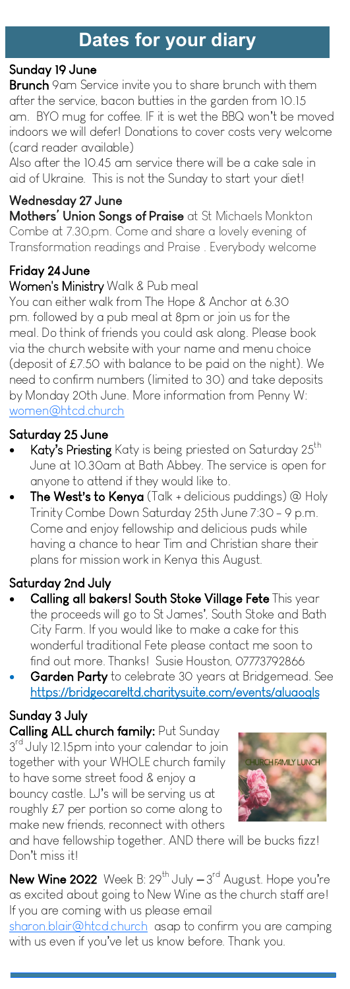#### Sunday 19 June

**Brunch** 9am Service invite you to share brunch with them after the service, bacon butties in the garden from 10.15 am. BYO mug for coffee. IF it is wet the BBQ won't be moved indoors we will defer! Donations to cover costs very welcome (card reader available)

Also after the 10.45 am service there will be a cake sale in aid of Ukraine. This is not the Sunday to start your diet!

Wednesday 27 June Mothers' Union Songs of Praise at St Michaels Monkton Combe at 7.30,pm. Come and share a lovely evening of Transformation readings and Praise . Everybody welcome

## Friday 24 June

### Women's Ministry Walk & Pub meal

You can either walk from The Hope & Anchor at 6.30 pm. followed by a pub meal at 8pm or join us for the meal. Do think of friends you could ask along. Please book via the church website with your name and menu choice (deposit of £7.50 with balance to be paid on the night). We need to confirm numbers (limited to 30) and take deposits by Monday 20th June. More information from Penny W: [women@htcd.church](mailto:women@htcd.church)

### Saturday 25 June

- Katy's Priesting Katy is being priested on Saturday 25<sup>th</sup> June at 10.30am at Bath Abbey. The service is open for anyone to attend if they would like to.
- **The West's to Kenya** (Talk + delicious puddings) @ Holy Trinity Combe Down Saturday 25th June 7:30 - 9 p.m. Come and enjoy fellowship and delicious puds while having a chance to hear Tim and Christian share their plans for mission work in Kenya this August.

### Saturday 2nd July

- Calling all bakers! South Stoke Village Fete This year the proceeds will go to St James', South Stoke and Bath City Farm. If you would like to make a cake for this wonderful traditional Fete please contact me soon to find out more. Thanks! Susie Houston, 07773792866
- Garden Party to celebrate 30 years at Bridgemead. See https://bridgecareltd.charitysuite.com/events/aluaoqls

Sunday 3 July Calling ALL church family: Put Sunday 3<sup>rd</sup> July 12.15pm into your calendar to join together with your WHOLE church family to have some street food & enjoy a bouncy castle. LJ's will be serving us at roughly £7 per portion so come along to make new friends, reconnect with others



and have fellowship together. AND there will be bucks fizz! Don't miss it!

 $\textsf{New}\ \textsf{Wine}$  2022 Week B: 29 $^{\textsf{th}}$  July — 3 $^{\textsf{rd}}$  August. Hope you're as excited about going to New Wine as the church staff are! If you are coming with us please email

[sharon.blair@htcd.church](mailto:sharon.blair@htcd.church) asap to confirm you are camping with us even if you've let us know before. Thank you.